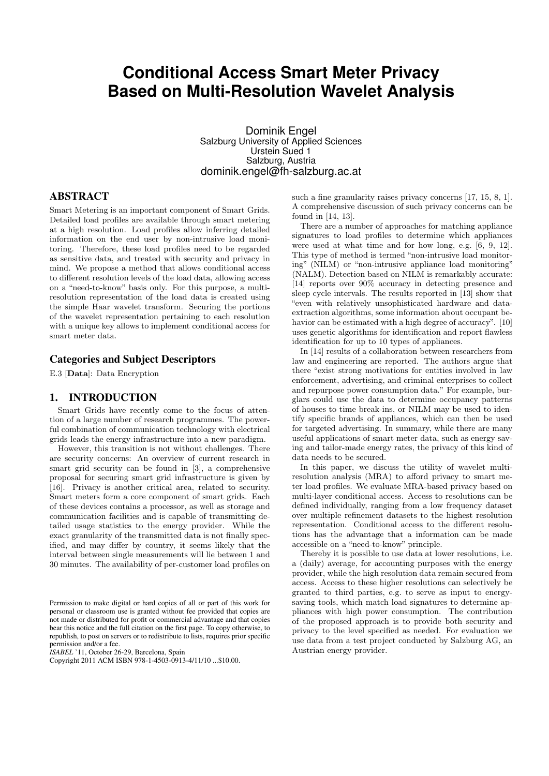# **Conditional Access Smart Meter Privacy Based on Multi-Resolution Wavelet Analysis**

Dominik Engel Salzburg University of Applied Sciences Urstein Sued 1 Salzburg, Austria dominik.engel@fh-salzburg.ac.at

# ABSTRACT

Smart Metering is an important component of Smart Grids. Detailed load profiles are available through smart metering at a high resolution. Load profiles allow inferring detailed information on the end user by non-intrusive load monitoring. Therefore, these load profiles need to be regarded as sensitive data, and treated with security and privacy in mind. We propose a method that allows conditional access to different resolution levels of the load data, allowing access on a "need-to-know" basis only. For this purpose, a multiresolution representation of the load data is created using the simple Haar wavelet transform. Securing the portions of the wavelet representation pertaining to each resolution with a unique key allows to implement conditional access for smart meter data.

### Categories and Subject Descriptors

E.3 [Data]: Data Encryption

# 1. INTRODUCTION

Smart Grids have recently come to the focus of attention of a large number of research programmes. The powerful combination of communication technology with electrical grids leads the energy infrastructure into a new paradigm.

However, this transition is not without challenges. There are security concerns: An overview of current research in smart grid security can be found in [3], a comprehensive proposal for securing smart grid infrastructure is given by [16]. Privacy is another critical area, related to security. Smart meters form a core component of smart grids. Each of these devices contains a processor, as well as storage and communication facilities and is capable of transmitting detailed usage statistics to the energy provider. While the exact granularity of the transmitted data is not finally specified, and may differ by country, it seems likely that the interval between single measurements will lie between 1 and 30 minutes. The availability of per-customer load profiles on

*ISABEL* '11, October 26-29, Barcelona, Spain

such a fine granularity raises privacy concerns [17, 15, 8, 1]. A comprehensive discussion of such privacy concerns can be found in [14, 13].

There are a number of approaches for matching appliance signatures to load profiles to determine which appliances were used at what time and for how long, e.g. [6, 9, 12]. This type of method is termed "non-intrusive load monitoring" (NILM) or "non-intrusive appliance load monitoring" (NALM). Detection based on NILM is remarkably accurate: [14] reports over 90% accuracy in detecting presence and sleep cycle intervals. The results reported in [13] show that "even with relatively unsophisticated hardware and dataextraction algorithms, some information about occupant behavior can be estimated with a high degree of accuracy". [10] uses genetic algorithms for identification and report flawless identification for up to 10 types of appliances.

In [14] results of a collaboration between researchers from law and engineering are reported. The authors argue that there "exist strong motivations for entities involved in law enforcement, advertising, and criminal enterprises to collect and repurpose power consumption data." For example, burglars could use the data to determine occupancy patterns of houses to time break-ins, or NILM may be used to identify specific brands of appliances, which can then be used for targeted advertising. In summary, while there are many useful applications of smart meter data, such as energy saving and tailor-made energy rates, the privacy of this kind of data needs to be secured.

In this paper, we discuss the utility of wavelet multiresolution analysis (MRA) to afford privacy to smart meter load profiles. We evaluate MRA-based privacy based on multi-layer conditional access. Access to resolutions can be defined individually, ranging from a low frequency dataset over multiple refinement datasets to the highest resolution representation. Conditional access to the different resolutions has the advantage that a information can be made accessible on a "need-to-know" principle.

Thereby it is possible to use data at lower resolutions, i.e. a (daily) average, for accounting purposes with the energy provider, while the high resolution data remain secured from access. Access to these higher resolutions can selectively be granted to third parties, e.g. to serve as input to energysaving tools, which match load signatures to determine appliances with high power consumption. The contribution of the proposed approach is to provide both security and privacy to the level specified as needed. For evaluation we use data from a test project conducted by Salzburg AG, an Austrian energy provider.

Permission to make digital or hard copies of all or part of this work for personal or classroom use is granted without fee provided that copies are not made or distributed for profit or commercial advantage and that copies bear this notice and the full citation on the first page. To copy otherwise, to republish, to post on servers or to redistribute to lists, requires prior specific permission and/or a fee.

Copyright 2011 ACM ISBN 978-1-4503-0913-4/11/10 ...\$10.00.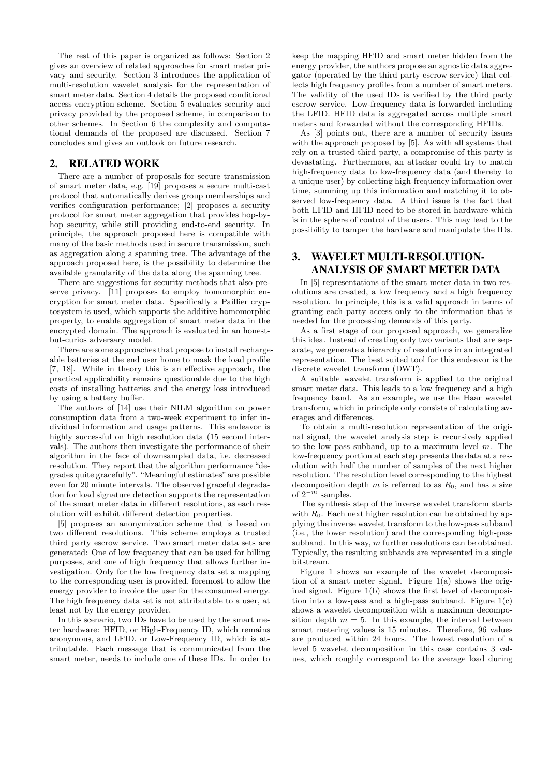The rest of this paper is organized as follows: Section 2 gives an overview of related approaches for smart meter privacy and security. Section 3 introduces the application of multi-resolution wavelet analysis for the representation of smart meter data. Section 4 details the proposed conditional access encryption scheme. Section 5 evaluates security and privacy provided by the proposed scheme, in comparison to other schemes. In Section 6 the complexity and computational demands of the proposed are discussed. Section 7 concludes and gives an outlook on future research.

#### 2. RELATED WORK

There are a number of proposals for secure transmission of smart meter data, e.g. [19] proposes a secure multi-cast protocol that automatically derives group memberships and verifies configuration performance; [2] proposes a security protocol for smart meter aggregation that provides hop-byhop security, while still providing end-to-end security. In principle, the approach proposed here is compatible with many of the basic methods used in secure transmission, such as aggregation along a spanning tree. The advantage of the approach proposed here, is the possibility to determine the available granularity of the data along the spanning tree.

There are suggestions for security methods that also preserve privacy. [11] proposes to employ homomorphic encryption for smart meter data. Specifically a Paillier cryptosystem is used, which supports the additive homomorphic property, to enable aggregation of smart meter data in the encrypted domain. The approach is evaluated in an honestbut-curios adversary model.

There are some approaches that propose to install rechargeable batteries at the end user home to mask the load profile [7, 18]. While in theory this is an effective approach, the practical applicability remains questionable due to the high costs of installing batteries and the energy loss introduced by using a battery buffer.

The authors of [14] use their NILM algorithm on power consumption data from a two-week experiment to infer individual information and usage patterns. This endeavor is highly successful on high resolution data (15 second intervals). The authors then investigate the performance of their algorithm in the face of downsampled data, i.e. decreased resolution. They report that the algorithm performance "degrades quite gracefully". "Meaningful estimates" are possible even for 20 minute intervals. The observed graceful degradation for load signature detection supports the representation of the smart meter data in different resolutions, as each resolution will exhibit different detection properties.

[5] proposes an anonymization scheme that is based on two different resolutions. This scheme employs a trusted third party escrow service. Two smart meter data sets are generated: One of low frequency that can be used for billing purposes, and one of high frequency that allows further investigation. Only for the low frequency data set a mapping to the corresponding user is provided, foremost to allow the energy provider to invoice the user for the consumed energy. The high frequency data set is not attributable to a user, at least not by the energy provider.

In this scenario, two IDs have to be used by the smart meter hardware: HFID, or High-Frequency ID, which remains anonymous, and LFID, or Low-Frequency ID, which is attributable. Each message that is communicated from the smart meter, needs to include one of these IDs. In order to

keep the mapping HFID and smart meter hidden from the energy provider, the authors propose an agnostic data aggregator (operated by the third party escrow service) that collects high frequency profiles from a number of smart meters. The validity of the used IDs is verified by the third party escrow service. Low-frequency data is forwarded including the LFID. HFID data is aggregated across multiple smart meters and forwarded without the corresponding HFIDs.

As [3] points out, there are a number of security issues with the approach proposed by [5]. As with all systems that rely on a trusted third party, a compromise of this party is devastating. Furthermore, an attacker could try to match high-frequency data to low-frequency data (and thereby to a unique user) by collecting high-frequency information over time, summing up this information and matching it to observed low-frequency data. A third issue is the fact that both LFID and HFID need to be stored in hardware which is in the sphere of control of the users. This may lead to the possibility to tamper the hardware and manipulate the IDs.

# 3. WAVELET MULTI-RESOLUTION-ANALYSIS OF SMART METER DATA

In [5] representations of the smart meter data in two resolutions are created, a low frequency and a high frequency resolution. In principle, this is a valid approach in terms of granting each party access only to the information that is needed for the processing demands of this party.

As a first stage of our proposed approach, we generalize this idea. Instead of creating only two variants that are separate, we generate a hierarchy of resolutions in an integrated representation. The best suited tool for this endeavor is the discrete wavelet transform (DWT).

A suitable wavelet transform is applied to the original smart meter data. This leads to a low frequency and a high frequency band. As an example, we use the Haar wavelet transform, which in principle only consists of calculating averages and differences.

To obtain a multi-resolution representation of the original signal, the wavelet analysis step is recursively applied to the low pass subband, up to a maximum level  $m$ . The low-frequency portion at each step presents the data at a resolution with half the number of samples of the next higher resolution. The resolution level corresponding to the highest decomposition depth m is referred to as  $R_0$ , and has a size of  $2^{-m}$  samples.

The synthesis step of the inverse wavelet transform starts with  $R_0$ . Each next higher resolution can be obtained by applying the inverse wavelet transform to the low-pass subband (i.e., the lower resolution) and the corresponding high-pass subband. In this way, m further resolutions can be obtained. Typically, the resulting subbands are represented in a single bitstream.

Figure 1 shows an example of the wavelet decomposition of a smart meter signal. Figure  $1(a)$  shows the original signal. Figure 1(b) shows the first level of decomposition into a low-pass and a high-pass subband. Figure  $1(c)$ shows a wavelet decomposition with a maximum decomposition depth  $m = 5$ . In this example, the interval between smart metering values is 15 minutes. Therefore, 96 values are produced within 24 hours. The lowest resolution of a level 5 wavelet decomposition in this case contains 3 values, which roughly correspond to the average load during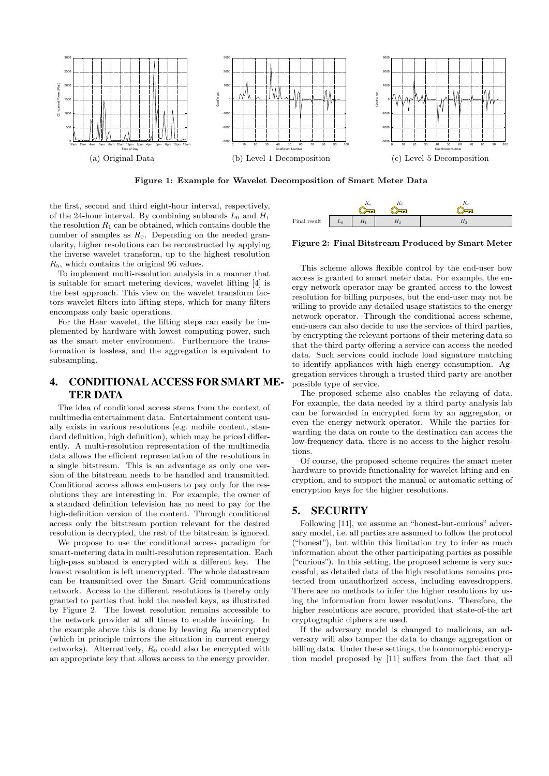

Figure 1: Example for Wavelet Decomposition of Smart Meter Data

the first, second and third eight-hour interval, respectively, of the 24-hour interval. By combining subbands  $L_0$  and  $H_1$ the resolution  $R_1$  can be obtained, which contains double the number of samples as  $R_0$ . Depending on the needed granularity, higher resolutions can be reconstructed by applying the inverse wavelet transform, up to the highest resolution R5, which contains the original 96 values.

To implement multi-resolution analysis in a manner that is suitable for smart metering devices, wavelet lifting [4] is the best approach. This view on the wavelet transform factors wavelet filters into lifting steps, which for many filters encompass only basic operations.

For the Haar wavelet, the lifting steps can easily be implemented by hardware with lowest computing power, such as the smart meter environment. Furthermore the transformation is lossless, and the aggregation is equivalent to subsampling.

# 4. CONDITIONAL ACCESS FOR SMART ME-TER DATA

The idea of conditional access stems from the context of multimedia entertainment data. Entertainment content usually exists in various resolutions (e.g. mobile content, standard definition, high definition), which may be priced differently. A multi-resolution representation of the multimedia data allows the efficient representation of the resolutions in a single bitstream. This is an advantage as only one version of the bitstream needs to be handled and transmitted. Conditional access allows end-users to pay only for the resolutions they are interesting in. For example, the owner of a standard definition television has no need to pay for the high-definition version of the content. Through conditional access only the bitstream portion relevant for the desired resolution is decrypted, the rest of the bitstream is ignored.

We propose to use the conditional access paradigm for smart-metering data in multi-resolution representation. Each high-pass subband is encrypted with a different key. The lowest resolution is left unencrypted. The whole datastream can be transmitted over the Smart Grid communications network. Access to the different resolutions is thereby only granted to parties that hold the needed keys, as illustrated by Figure 2. The lowest resolution remains accessible to the network provider at all times to enable invoicing. In the example above this is done by leaving  $R_0$  unencrypted (which in principle mirrors the situation in current energy networks). Alternatively,  $R_0$  could also be encrypted with an appropriate key that allows access to the energy provider.



Figure 2: Final Bitstream Produced by Smart Meter

This scheme allows flexible control by the end-user how access is granted to smart meter data. For example, the energy network operator may be granted access to the lowest resolution for billing purposes, but the end-user may not be willing to provide any detailed usage statistics to the energy network operator. Through the conditional access scheme, end-users can also decide to use the services of third parties, by encrypting the relevant portions of their metering data so that the third party offering a service can access the needed data. Such services could include load signature matching to identify appliances with high energy consumption. Aggregation services through a trusted third party are another possible type of service.

The proposed scheme also enables the relaying of data. For example, the data needed by a third party analysis lab can be forwarded in encrypted form by an aggregator, or even the energy network operator. While the parties forwarding the data on route to the destination can access the low-frequency data, there is no access to the higher resolutions.

Of course, the proposed scheme requires the smart meter hardware to provide functionality for wavelet lifting and encryption, and to support the manual or automatic setting of encryption keys for the higher resolutions.

### 5. SECURITY

Following [11], we assume an "honest-but-curious" adversary model, i.e. all parties are assumed to follow the protocol ("honest"), but within this limitation try to infer as much information about the other participating parties as possible ("curious"). In this setting, the proposed scheme is very successful, as detailed data of the high resolutions remains protected from unauthorized access, including eavesdroppers. There are no methods to infer the higher resolutions by using the information from lower resolutions. Therefore, the higher resolutions are secure, provided that state-of-the art cryptographic ciphers are used.

If the adversary model is changed to malicious, an adversary will also tamper the data to change aggregation or billing data. Under these settings, the homomorphic encryption model proposed by [11] suffers from the fact that all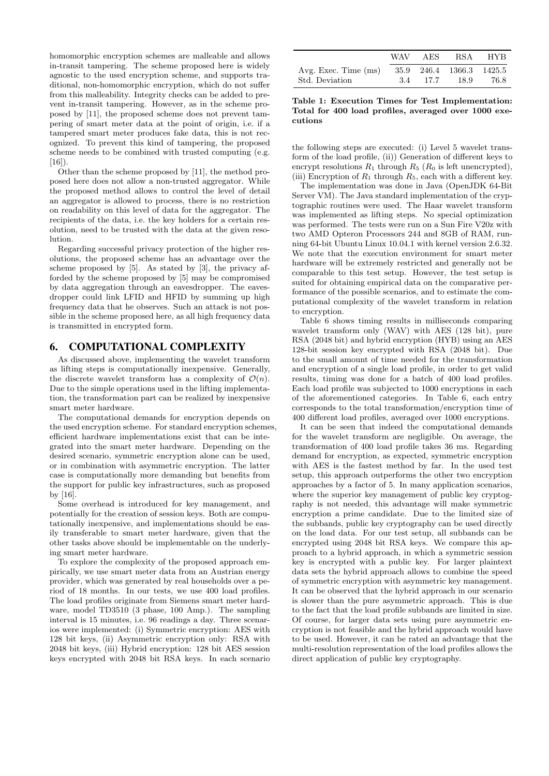homomorphic encryption schemes are malleable and allows in-transit tampering. The scheme proposed here is widely agnostic to the used encryption scheme, and supports traditional, non-homomorphic encryption, which do not suffer from this malleability. Integrity checks can be added to prevent in-transit tampering. However, as in the scheme proposed by [11], the proposed scheme does not prevent tampering of smart meter data at the point of origin, i.e. if a tampered smart meter produces fake data, this is not recognized. To prevent this kind of tampering, the proposed scheme needs to be combined with trusted computing (e.g.  $[16]$ ).

Other than the scheme proposed by [11], the method proposed here does not allow a non-trusted aggregator. While the proposed method allows to control the level of detail an aggregator is allowed to process, there is no restriction on readability on this level of data for the aggregator. The recipients of the data, i.e. the key holders for a certain resolution, need to be trusted with the data at the given resolution.

Regarding successful privacy protection of the higher resolutions, the proposed scheme has an advantage over the scheme proposed by [5]. As stated by [3], the privacy afforded by the scheme proposed by [5] may be compromised by data aggregation through an eavesdropper. The eavesdropper could link LFID and HFID by summing up high frequency data that he observes. Such an attack is not possible in the scheme proposed here, as all high frequency data is transmitted in encrypted form.

# 6. COMPUTATIONAL COMPLEXITY

As discussed above, implementing the wavelet transform as lifting steps is computationally inexpensive. Generally, the discrete wavelet transform has a complexity of  $\mathcal{O}(n)$ . Due to the simple operations used in the lifting implementation, the transformation part can be realized by inexpensive smart meter hardware.

The computational demands for encryption depends on the used encryption scheme. For standard encryption schemes, efficient hardware implementations exist that can be integrated into the smart meter hardware. Depending on the desired scenario, symmetric encryption alone can be used, or in combination with asymmetric encryption. The latter case is computationally more demanding but benefits from the support for public key infrastructures, such as proposed by [16].

Some overhead is introduced for key management, and potentially for the creation of session keys. Both are computationally inexpensive, and implementations should be easily transferable to smart meter hardware, given that the other tasks above should be implementable on the underlying smart meter hardware.

To explore the complexity of the proposed approach empirically, we use smart meter data from an Austrian energy provider, which was generated by real households over a period of 18 months. In our tests, we use 400 load profiles. The load profiles originate from Siemens smart meter hardware, model TD3510 (3 phase, 100 Amp.). The sampling interval is 15 minutes, i.e. 96 readings a day. Three scenarios were implemented: (i) Symmetric encryption: AES with 128 bit keys, (ii) Asymmetric encryption only: RSA with 2048 bit keys, (iii) Hybrid encryption: 128 bit AES session keys encrypted with 2048 bit RSA keys. In each scenario

|                      | WAV | AES  | <b>RSA</b>               | HYB. |
|----------------------|-----|------|--------------------------|------|
| Avg. Exec. Time (ms) |     |      | 35.9 246.4 1366.3 1425.5 |      |
| Std. Deviation       | 3.4 | 17.7 | -18.9                    | 76.8 |

Table 1: Execution Times for Test Implementation: Total for 400 load profiles, averaged over 1000 executions

the following steps are executed: (i) Level 5 wavelet transform of the load profile, (ii)) Generation of different keys to encrypt resolutions  $R_1$  through  $R_5$  ( $R_0$  is left unencrypted), (iii) Encryption of  $R_1$  through  $R_5$ , each with a different key.

The implementation was done in Java (OpenJDK 64-Bit Server VM). The Java standard implementation of the cryptographic routines were used. The Haar wavelet transform was implemented as lifting steps. No special optimization was performed. The tests were run on a Sun Fire V20z with two AMD Opteron Processors 244 and 8GB of RAM, running 64-bit Ubuntu Linux 10.04.1 with kernel version 2.6.32. We note that the execution environment for smart meter hardware will be extremely restricted and generally not be comparable to this test setup. However, the test setup is suited for obtaining empirical data on the comparative performance of the possible scenarios, and to estimate the computational complexity of the wavelet transform in relation to encryption.

Table 6 shows timing results in milliseconds comparing wavelet transform only (WAV) with AES (128 bit), pure RSA (2048 bit) and hybrid encryption (HYB) using an AES 128-bit session key encrypted with RSA (2048 bit). Due to the small amount of time needed for the transformation and encryption of a single load profile, in order to get valid results, timing was done for a batch of 400 load profiles. Each load profile was subjected to 1000 encryptions in each of the aforementioned categories. In Table 6, each entry corresponds to the total transformation/encryption time of 400 different load profiles, averaged over 1000 encryptions.

It can be seen that indeed the computational demands for the wavelet transform are negligible. On average, the transformation of 400 load profile takes 36 ms. Regarding demand for encryption, as expected, symmetric encryption with AES is the fastest method by far. In the used test setup, this approach outperforms the other two encryption approaches by a factor of 5. In many application scenarios, where the superior key management of public key cryptography is not needed, this advantage will make symmetric encryption a prime candidate. Due to the limited size of the subbands, public key cryptography can be used directly on the load data. For our test setup, all subbands can be encrypted using 2048 bit RSA keys. We compare this approach to a hybrid approach, in which a symmetric session key is encrypted with a public key. For larger plaintext data sets the hybrid approach allows to combine the speed of symmetric encryption with asymmetric key management. It can be observed that the hybrid approach in our scenario is slower than the pure asymmetric approach. This is due to the fact that the load profile subbands are limited in size. Of course, for larger data sets using pure asymmetric encryption is not feasible and the hybrid approach would have to be used. However, it can be rated an advantage that the multi-resolution representation of the load profiles allows the direct application of public key cryptography.